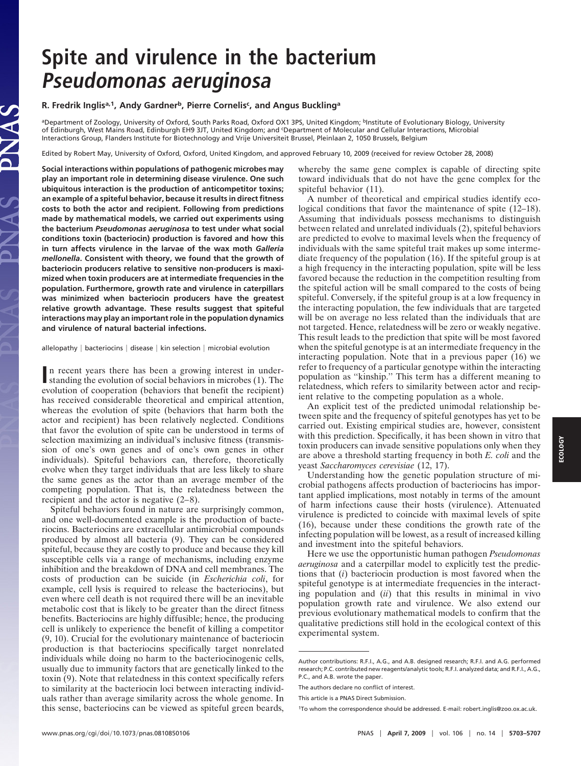# **Spite and virulence in the bacterium Pseudomonas aeruginosa**

## **R. Fredrik Inglisa,1, Andy Gardnerb, Pierre Cornelisc , and Angus Bucklinga**

aDepartment of Zoology, University of Oxford, South Parks Road, Oxford OX1 3PS, United Kingdom; <sup>b</sup>Institute of Evolutionary Biology, University of Edinburgh, West Mains Road, Edinburgh EH9 3JT, United Kingdom; and <sup>c</sup> Department of Molecular and Cellular Interactions, Microbial Interactions Group, Flanders Institute for Biotechnology and Vrije Universiteit Brussel, Pleinlaan 2, 1050 Brussels, Belgium

Edited by Robert May, University of Oxford, Oxford, United Kingdom, and approved February 10, 2009 (received for review October 28, 2008)

**Social interactions within populations of pathogenic microbes may play an important role in determining disease virulence. One such ubiquitous interaction is the production of anticompetitor toxins; an example of a spiteful behavior, because it results in direct fitness costs to both the actor and recipient. Following from predictions made by mathematical models, we carried out experiments using the bacterium** *Pseudomonas aeruginosa* **to test under what social conditions toxin (bacteriocin) production is favored and how this in turn affects virulence in the larvae of the wax moth** *Galleria mellonella***. Consistent with theory, we found that the growth of bacteriocin producers relative to sensitive non-producers is maximized when toxin producers are at intermediate frequencies in the population. Furthermore, growth rate and virulence in caterpillars was minimized when bacteriocin producers have the greatest relative growth advantage. These results suggest that spiteful interactions may play an important role in the population dynamics and virulence of natural bacterial infections.**

allelopathy  $|$  bacteriocins  $|$  disease  $|$  kin selection  $|$  microbial evolution

In recent years there has been a growing interest in under-<br>standing the evolution of social behaviors in microbes (1). The standing the evolution of social behaviors in microbes (1). The evolution of cooperation (behaviors that benefit the recipient) has received considerable theoretical and empirical attention, whereas the evolution of spite (behaviors that harm both the actor and recipient) has been relatively neglected. Conditions that favor the evolution of spite can be understood in terms of selection maximizing an individual's inclusive fitness (transmission of one's own genes and of one's own genes in other individuals). Spiteful behaviors can, therefore, theoretically evolve when they target individuals that are less likely to share the same genes as the actor than an average member of the competing population. That is, the relatedness between the recipient and the actor is negative (2–8).

Spiteful behaviors found in nature are surprisingly common, and one well-documented example is the production of bacteriocins. Bacteriocins are extracellular antimicrobial compounds produced by almost all bacteria (9). They can be considered spiteful, because they are costly to produce and because they kill susceptible cells via a range of mechanisms, including enzyme inhibition and the breakdown of DNA and cell membranes. The costs of production can be suicide (in *Escherichia coli*, for example, cell lysis is required to release the bacteriocins), but even where cell death is not required there will be an inevitable metabolic cost that is likely to be greater than the direct fitness benefits. Bacteriocins are highly diffusible; hence, the producing cell is unlikely to experience the benefit of killing a competitor (9, 10). Crucial for the evolutionary maintenance of bacteriocin production is that bacteriocins specifically target nonrelated individuals while doing no harm to the bacteriocinogenic cells, usually due to immunity factors that are genetically linked to the toxin (9). Note that relatedness in this context specifically refers to similarity at the bacteriocin loci between interacting individuals rather than average similarity across the whole genome. In this sense, bacteriocins can be viewed as spiteful green beards,

whereby the same gene complex is capable of directing spite toward individuals that do not have the gene complex for the spiteful behavior (11).

A number of theoretical and empirical studies identify ecological conditions that favor the maintenance of spite (12–18). Assuming that individuals possess mechanisms to distinguish between related and unrelated individuals (2), spiteful behaviors are predicted to evolve to maximal levels when the frequency of individuals with the same spiteful trait makes up some intermediate frequency of the population (16). If the spiteful group is at a high frequency in the interacting population, spite will be less favored because the reduction in the competition resulting from the spiteful action will be small compared to the costs of being spiteful. Conversely, if the spiteful group is at a low frequency in the interacting population, the few individuals that are targeted will be on average no less related than the individuals that are not targeted. Hence, relatedness will be zero or weakly negative. This result leads to the prediction that spite will be most favored when the spiteful genotype is at an intermediate frequency in the interacting population. Note that in a previous paper (16) we refer to frequency of a particular genotype within the interacting population as ''kinship.'' This term has a different meaning to relatedness, which refers to similarity between actor and recipient relative to the competing population as a whole.

An explicit test of the predicted unimodal relationship between spite and the frequency of spiteful genotypes has yet to be carried out. Existing empirical studies are, however, consistent with this prediction. Specifically, it has been shown in vitro that toxin producers can invade sensitive populations only when they are above a threshold starting frequency in both *E. coli* and the yeast *Saccharomyces cerevisiae* (12, 17).

Understanding how the genetic population structure of microbial pathogens affects production of bacteriocins has important applied implications, most notably in terms of the amount of harm infections cause their hosts (virulence). Attenuated virulence is predicted to coincide with maximal levels of spite (16), because under these conditions the growth rate of the infecting population will be lowest, as a result of increased killing and investment into the spiteful behaviors.

Here we use the opportunistic human pathogen *Pseudomonas aeruginosa* and a caterpillar model to explicitly test the predictions that (*i*) bacteriocin production is most favored when the spiteful genotype is at intermediate frequencies in the interacting population and (*ii*) that this results in minimal in vivo population growth rate and virulence. We also extend our previous evolutionary mathematical models to confirm that the qualitative predictions still hold in the ecological context of this experimental system.

Author contributions: R.F.I., A.G., and A.B. designed research; R.F.I. and A.G. performed research; P.C. contributed new reagents/analytic tools; R.F.I. analyzed data; and R.F.I., A.G., P.C., and A.B. wrote the paper.

The authors declare no conflict of interest.

This article is a PNAS Direct Submission.

<sup>1</sup>To whom the correspondence should be addressed. E-mail: robert.inglis@zoo.ox.ac.uk.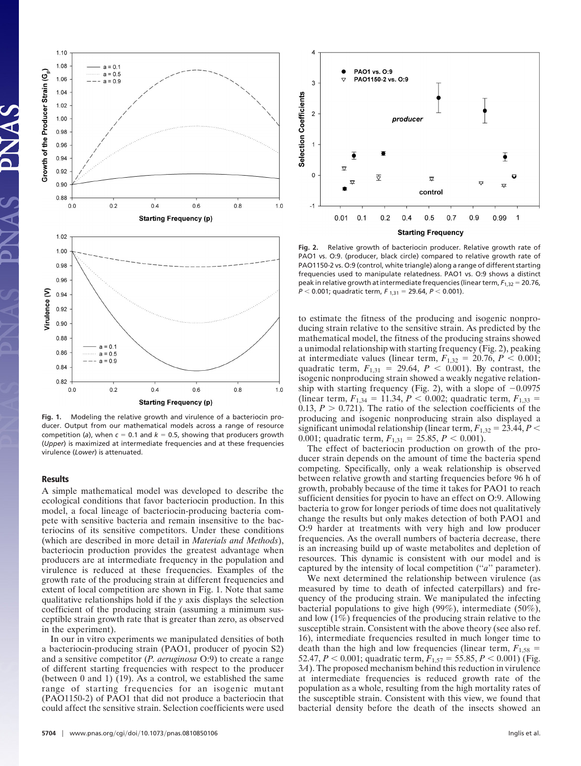

**Fig. 1.** Modeling the relative growth and virulence of a bacteriocin producer. Output from our mathematical models across a range of resource competition (*a*), when  $c = 0.1$  and  $k = 0.5$ , showing that producers growth (*Upper*) is maximized at intermediate frequencies and at these frequencies virulence (*Lower*) is attenuated.

#### **Results**

A simple mathematical model was developed to describe the ecological conditions that favor bacteriocin production. In this model, a focal lineage of bacteriocin-producing bacteria compete with sensitive bacteria and remain insensitive to the bacteriocins of its sensitive competitors. Under these conditions (which are described in more detail in *Materials and Methods*), bacteriocin production provides the greatest advantage when producers are at intermediate frequency in the population and virulence is reduced at these frequencies. Examples of the growth rate of the producing strain at different frequencies and extent of local competition are shown in Fig. 1. Note that same qualitative relationships hold if the *y* axis displays the selection coefficient of the producing strain (assuming a minimum susceptible strain growth rate that is greater than zero, as observed in the experiment).

In our in vitro experiments we manipulated densities of both a bacteriocin-producing strain (PAO1, producer of pyocin S2) and a sensitive competitor (*P. aeruginosa* O:9) to create a range of different starting frequencies with respect to the producer (between 0 and 1) (19). As a control, we established the same range of starting frequencies for an isogenic mutant (PAO1150-2) of PAO1 that did not produce a bacteriocin that could affect the sensitive strain. Selection coefficients were used



**Fig. 2.** Relative growth of bacteriocin producer. Relative growth rate of PAO1 vs. O:9. (producer, black circle) compared to relative growth rate of PAO1150-2 vs. O:9 (control, white triangle) along a range of different starting frequencies used to manipulate relatedness. PAO1 vs. O:9 shows a distinct peak in relative growth at intermediate frequencies (linear term,  $F_{1,32} = 20.76$ , *P* < 0.001; quadratic term, *F* <sub>1,31</sub> = 29.64, *P* < 0.001).

to estimate the fitness of the producing and isogenic nonproducing strain relative to the sensitive strain. As predicted by the mathematical model, the fitness of the producing strains showed a unimodal relationship with starting frequency (Fig. 2), peaking at intermediate values (linear term,  $F_{1,32} = 20.76$ ,  $P < 0.001$ ; quadratic term,  $F_{1,31} = 29.64, P < 0.001$ . By contrast, the isogenic nonproducing strain showed a weakly negative relationship with starting frequency (Fig. 2), with a slope of  $-0.0975$ (linear term,  $F_{1,34} = 11.34, P < 0.002$ ; quadratic term,  $F_{1,33} =$ 0.13,  $P > 0.721$ ). The ratio of the selection coefficients of the producing and isogenic nonproducing strain also displayed a significant unimodal relationship (linear term,  $F_{1,32} = 23.44$ ,  $P <$ 0.001; quadratic term,  $F_{1,31} = 25.85, P \le 0.001$ ).

The effect of bacteriocin production on growth of the producer strain depends on the amount of time the bacteria spend competing. Specifically, only a weak relationship is observed between relative growth and starting frequencies before 96 h of growth, probably because of the time it takes for PAO1 to reach sufficient densities for pyocin to have an effect on O:9. Allowing bacteria to grow for longer periods of time does not qualitatively change the results but only makes detection of both PAO1 and O:9 harder at treatments with very high and low producer frequencies. As the overall numbers of bacteria decrease, there is an increasing build up of waste metabolites and depletion of resources. This dynamic is consistent with our model and is captured by the intensity of local competition (''*a*'' parameter).

We next determined the relationship between virulence (as measured by time to death of infected caterpillars) and frequency of the producing strain. We manipulated the infecting bacterial populations to give high (99%), intermediate (50%), and low (1%) frequencies of the producing strain relative to the susceptible strain. Consistent with the above theory (see also ref. 16), intermediate frequencies resulted in much longer time to death than the high and low frequencies (linear term,  $F_{1,58}$  = 52.47,  $P < 0.001$ ; quadratic term,  $F_{1,57} = 55.85, P < 0.001$ ) (Fig. 3*A*). The proposed mechanism behind this reduction in virulence at intermediate frequencies is reduced growth rate of the population as a whole, resulting from the high mortality rates of the susceptible strain. Consistent with this view, we found that bacterial density before the death of the insects showed an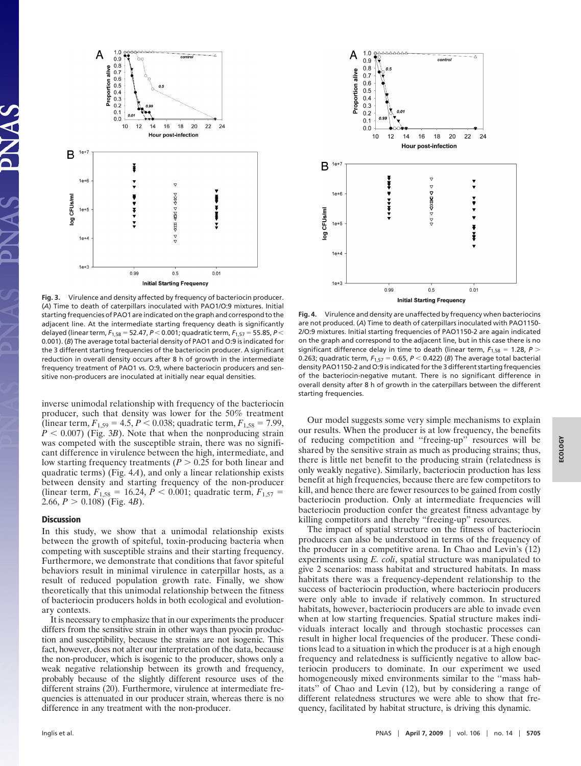

**Fig. 3.** Virulence and density affected by frequency of bacteriocin producer. (*A*) Time to death of caterpillars inoculated with PAO1/O:9 mixtures. Initial starting frequencies of PAO1 are indicated on the graph and correspond to the adjacent line. At the intermediate starting frequency death is significantly delayed (linear term, *F*<sub>1,58</sub> = 52.47, *P* < 0.001; quadratic term, *F*<sub>1,57</sub> = 55.85, *P* < 0.001). (*B*) The average total bacterial density of PAO1 and O:9 is indicated for the 3 different starting frequencies of the bacteriocin producer. A significant reduction in overall density occurs after 8 h of growth in the intermediate frequency treatment of PAO1 vs. O:9, where bacteriocin producers and sensitive non-producers are inoculated at initially near equal densities.

inverse unimodal relationship with frequency of the bacteriocin producer, such that density was lower for the 50% treatment  $($ linear term,  $F_{1,59} = 4.5, P < 0.038$ ; quadratic term,  $F_{1,58} = 7.99$ ,  $P < 0.007$ ) (Fig. 3*B*). Note that when the nonproducing strain was competed with the susceptible strain, there was no significant difference in virulence between the high, intermediate, and low starting frequency treatments ( $P > 0.25$  for both linear and quadratic terms) (Fig. 4*A*), and only a linear relationship exists between density and starting frequency of the non-producer (linear term,  $F_{1,58} = 16.24, P < 0.001$ ; quadratic term,  $F_{1,57} =$ 2.66,  $P > 0.108$ ) (Fig. 4*B*).

## **Discussion**

In this study, we show that a unimodal relationship exists between the growth of spiteful, toxin-producing bacteria when competing with susceptible strains and their starting frequency. Furthermore, we demonstrate that conditions that favor spiteful behaviors result in minimal virulence in caterpillar hosts, as a result of reduced population growth rate. Finally, we show theoretically that this unimodal relationship between the fitness of bacteriocin producers holds in both ecological and evolutionary contexts.

It is necessary to emphasize that in our experiments the producer differs from the sensitive strain in other ways than pyocin production and susceptibility, because the strains are not isogenic. This fact, however, does not alter our interpretation of the data, because the non-producer, which is isogenic to the producer, shows only a weak negative relationship between its growth and frequency, probably because of the slightly different resource uses of the different strains (20). Furthermore, virulence at intermediate frequencies is attenuated in our producer strain, whereas there is no difference in any treatment with the non-producer.



**Fig. 4.** Virulence and density are unaffected by frequency when bacteriocins are not produced. (*A*) Time to death of caterpillars inoculated with PAO1150- 2/O:9 mixtures. Initial starting frequencies of PAO1150-2 are again indicated on the graph and correspond to the adjacent line, but in this case there is no significant difference delay in time to death (linear term,  $F_{1,58} = 1.28$ ,  $P >$ 0.263; quadratic term,  $F_{1,57} = 0.65$ ,  $P < 0.422$ ) (*B*) The average total bacterial density PAO1150-2 and O:9 is indicated for the 3 different starting frequencies of the bacteriocin-negative mutant. There is no significant difference in overall density after 8 h of growth in the caterpillars between the different starting frequencies.

Our model suggests some very simple mechanisms to explain our results. When the producer is at low frequency, the benefits of reducing competition and ''freeing-up'' resources will be shared by the sensitive strain as much as producing strains; thus, there is little net benefit to the producing strain (relatedness is only weakly negative). Similarly, bacteriocin production has less benefit at high frequencies, because there are few competitors to kill, and hence there are fewer resources to be gained from costly bacteriocin production. Only at intermediate frequencies will bacteriocin production confer the greatest fitness advantage by killing competitors and thereby "freeing-up" resources.

The impact of spatial structure on the fitness of bacteriocin producers can also be understood in terms of the frequency of the producer in a competitive arena. In Chao and Levin's (12) experiments using *E. coli*, spatial structure was manipulated to give 2 scenarios: mass habitat and structured habitats. In mass habitats there was a frequency-dependent relationship to the success of bacteriocin production, where bacteriocin producers were only able to invade if relatively common. In structured habitats, however, bacteriocin producers are able to invade even when at low starting frequencies. Spatial structure makes individuals interact locally and through stochastic processes can result in higher local frequencies of the producer. These conditions lead to a situation in which the producer is at a high enough frequency and relatedness is sufficiently negative to allow bacteriocin producers to dominate. In our experiment we used homogeneously mixed environments similar to the ''mass habitats'' of Chao and Levin (12), but by considering a range of different relatedness structures we were able to show that frequency, facilitated by habitat structure, is driving this dynamic.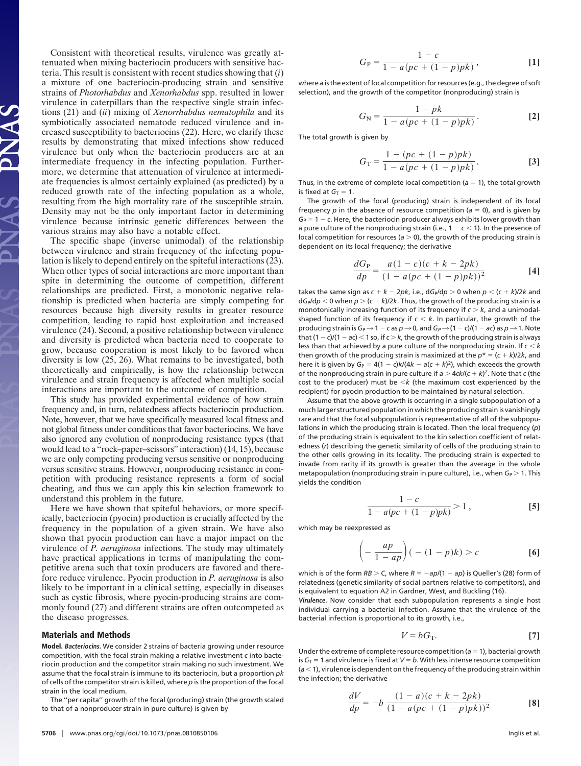Consistent with theoretical results, virulence was greatly attenuated when mixing bacteriocin producers with sensitive bacteria. This result is consistent with recent studies showing that (*i*) a mixture of one bacteriocin-producing strain and sensitive strains of *Photorhabdus* and *Xenorhabdus* spp. resulted in lower virulence in caterpillars than the respective single strain infections (21) and (*ii*) mixing of *Xenorrhabdus nematophila* and its symbiotically associated nematode reduced virulence and increased susceptibility to bacteriocins (22). Here, we clarify these results by demonstrating that mixed infections show reduced virulence but only when the bacteriocin producers are at an intermediate frequency in the infecting population. Furthermore, we determine that attenuation of virulence at intermediate frequencies is almost certainly explained (as predicted) by a reduced growth rate of the infecting population as a whole, resulting from the high mortality rate of the susceptible strain. Density may not be the only important factor in determining virulence because intrinsic genetic differences between the various strains may also have a notable effect.

The specific shape (inverse unimodal) of the relationship between virulence and strain frequency of the infecting population is likely to depend entirely on the spiteful interactions (23). When other types of social interactions are more important than spite in determining the outcome of competition, different relationships are predicted. First, a monotonic negative relationship is predicted when bacteria are simply competing for resources because high diversity results in greater resource competition, leading to rapid host exploitation and increased virulence (24). Second, a positive relationship between virulence and diversity is predicted when bacteria need to cooperate to grow, because cooperation is most likely to be favored when diversity is low (25, 26). What remains to be investigated, both theoretically and empirically, is how the relationship between virulence and strain frequency is affected when multiple social interactions are important to the outcome of competition.

This study has provided experimental evidence of how strain frequency and, in turn, relatedness affects bacteriocin production. Note, however, that we have specifically measured local fitness and not global fitness under conditions that favor bacteriocins. We have also ignored any evolution of nonproducing resistance types (that would lead to a ''rock–paper–scissors'' interaction) (14, 15), because we are only competing producing versus sensitive or nonproducing versus sensitive strains. However, nonproducing resistance in competition with producing resistance represents a form of social cheating, and thus we can apply this kin selection framework to understand this problem in the future.

Here we have shown that spiteful behaviors, or more specifically, bacteriocin (pyocin) production is crucially affected by the frequency in the population of a given strain. We have also shown that pyocin production can have a major impact on the virulence of *P. aeruginosa* infections. The study may ultimately have practical applications in terms of manipulating the competitive arena such that toxin producers are favored and therefore reduce virulence. Pyocin production in *P. aeruginosa* is also likely to be important in a clinical setting, especially in diseases such as cystic fibrosis, where pyocin-producing strains are commonly found (27) and different strains are often outcompeted as the disease progresses.

### **Materials and Methods**

**Model. Bacteriocins.** We consider 2 strains of bacteria growing under resource competition, with the focal strain making a relative investment *c* into bacteriocin production and the competitor strain making no such investment. We assume that the focal strain is immune to its bacteriocin, but a proportion *pk* of cells of the competitor strain is killed, where *p* is the proportion of the focal strain in the local medium.

The ''per capita'' growth of the focal (producing) strain (the growth scaled to that of a nonproducer strain in pure culture) is given by

$$
G_{P} = \frac{1 - c}{1 - a(pc + (1 - p)pk)},
$$
 [1]

where *a* is the extent of local competition for resources (e.g., the degree of soft selection), and the growth of the competitor (nonproducing) strain is

$$
G_{\rm N} = \frac{1 - pk}{1 - a(pc + (1 - p)pk)}.
$$
 [2]

The total growth is given by

$$
G_{\rm T} = \frac{1 - (pc + (1 - p)pk)}{1 - a(pc + (1 - p)pk)}.
$$
 [3]

Thus, in the extreme of complete local competition ( $a = 1$ ), the total growth is fixed at  $G_T = 1$ .

The growth of the focal (producing) strain is independent of its local frequency  $p$  in the absence of resource competition ( $a = 0$ ), and is given by  $G_P = 1 - c$ . Here, the bacteriocin producer always exhibits lower growth than a pure culture of the nonproducing strain (i.e.,  $1 - c < 1$ ). In the presence of local competition for resources ( $a > 0$ ), the growth of the producing strain is dependent on its local frequency; the derivative

$$
\frac{dG_{\rm P}}{dp} = \frac{a(1-c)(c+k-2pk)}{(1-a(pc+(1-p)pk))^2}
$$
 [4]

takes the same sign as  $\mathsf{c} + \mathsf{k} - 2\mathsf{p} \mathsf{k}$ , i.e., dG<sub>P</sub>/d $\mathsf{p} > \mathsf{0}$  when  $\mathsf{p} <$  ( $\mathsf{c} + \mathsf{k}$ )/2 $\mathsf{k}$  and d*G*P/d*p* - 0 when *p* (*c k*)/2*k*. Thus, the growth of the producing strain is a monotonically increasing function of its frequency if  $c > k$ , and a unimodalshaped function of its frequency if  $c < k$ . In particular, the growth of the producing strain is  $G_P \rightarrow 1 - c$  as  $p \rightarrow 0$ , and  $G_P \rightarrow (1 - c)/(1 - ac)$  as  $p \rightarrow 1$ . Note that (1  $-$  c)/(1  $-$  ac)  $<$  1 so, if  $c$   $>$   $k$ , the growth of the producing strain is always less than that achieved by a pure culture of the nonproducing strain. If  $c < k$ then growth of the producing strain is maximized at the  $p^* = (c + k)/2k$ , and here it is given by  $G_P = 4(1 - c)k/(4k - a(c + k)^2)$ , which exceeds the growth of the nonproducing strain in pure culture if  $a > 4ck/(c + k)^2$ . Note that *c* (the cost to the producer) must be  $\leq k$  (the maximum cost experienced by the recipient) for pyocin production to be maintained by natural selection.

Assume that the above growth is occurring in a single subpopulation of a much larger structured population in which the producing strain is vanishingly rare and that the focal subpopulation is representative of all of the subpopulations in which the producing strain is located. Then the local frequency (*p*) of the producing strain is equivalent to the kin selection coefficient of relatedness (*r*) describing the genetic similarity of cells of the producing strain to the other cells growing in its locality. The producing strain is expected to invade from rarity if its growth is greater than the average in the whole metapopulation (nonproducing strain in pure culture), i.e., when  $G_P > 1$ . This yields the condition

$$
\frac{1-c}{1-a(pc+(1-p)pk)} > 1,
$$
 [5]

which may be reexpressed as

$$
\left(-\frac{ap}{1-ap}\right)\left(-\left(1-p\right)k\right)>c\tag{6}
$$

which is of the form  $RB > C$ , where  $R = -ap/(1 - ap)$  is Queller's (28) form of relatedness (genetic similarity of social partners relative to competitors), and is equivalent to equation A2 in Gardner, West, and Buckling (16).

**Virulence.** Now consider that each subpopulation represents a single host individual carrying a bacterial infection. Assume that the virulence of the bacterial infection is proportional to its growth, i.e.,

$$
V = bG_{\mathrm{T}}.\tag{7}
$$

Under the extreme of complete resource competition ( $a = 1$ ), bacterial growth is  $G_T = 1$  and virulence is fixed at  $V = b$ . With less intense resource competition  $(a < 1)$ , virulence is dependent on the frequency of the producing strain within the infection; the derivative

$$
\frac{dV}{dp} = -b \frac{(1-a)(c+k-2pk)}{(1-a(pc+(1-p)pk))^2}
$$
 [8]